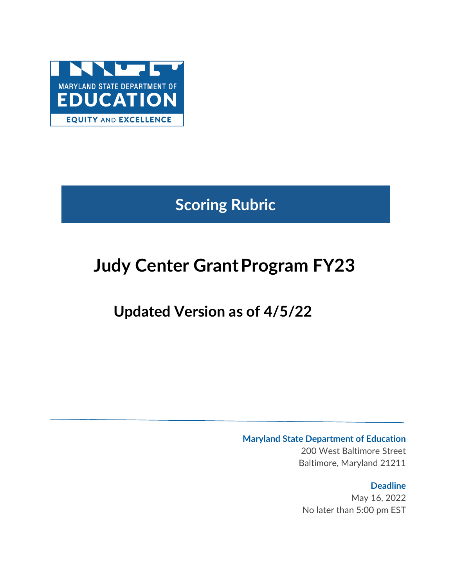

**Scoring Rubric**

# **Judy Center Grant Program FY23**

# **Updated Version as of 4/5/22**

# **Maryland State Department of Education**

200 West Baltimore Street Baltimore, Maryland 21211

# **Deadline**

May 16, 2022 No later than 5:00 pm EST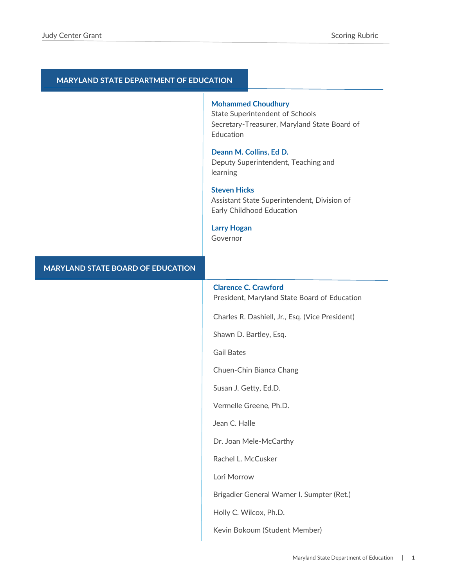#### **MARYLAND STATE DEPARTMENT OF EDUCATION**

#### **Mohammed Choudhury**

State Superintendent of Schools Secretary-Treasurer, Maryland State Board of Education

# **Deann M. Collins, Ed D.**

Deputy Superintendent, Teaching and learning

### **Steven Hicks**

Assistant State Superintendent, Division of Early Childhood Education

#### **Larry Hogan**

Governor

#### **MARYLAND STATE BOARD OF EDUCATION**

# **Clarence C. Crawford**

President, Maryland State Board of Education

Charles R. Dashiell, Jr., Esq. (Vice President)

Shawn D. Bartley, Esq.

Gail Bates

Chuen-Chin Bianca Chang

Susan J. Getty, Ed.D.

Vermelle Greene, Ph.D.

Jean C. Halle

Dr. Joan Mele-McCarthy

Rachel L. McCusker

Lori Morrow

Brigadier General Warner I. Sumpter (Ret.)

Holly C. Wilcox, Ph.D.

Kevin Bokoum (Student Member)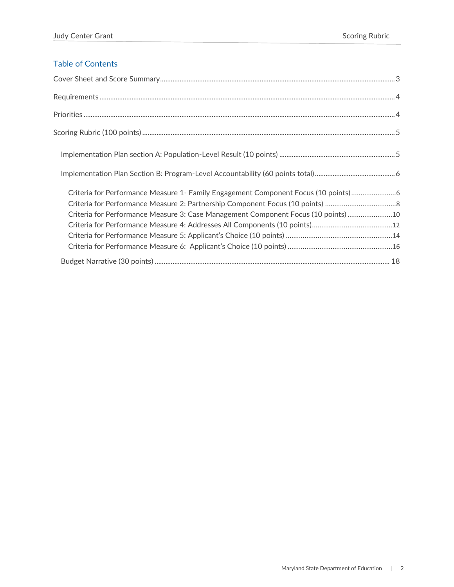# Table of Contents

| Criteria for Performance Measure 1- Family Engagement Component Focus (10 points)6 |
|------------------------------------------------------------------------------------|
|                                                                                    |
| Criteria for Performance Measure 3: Case Management Component Focus (10 points)10  |
|                                                                                    |
|                                                                                    |
|                                                                                    |
|                                                                                    |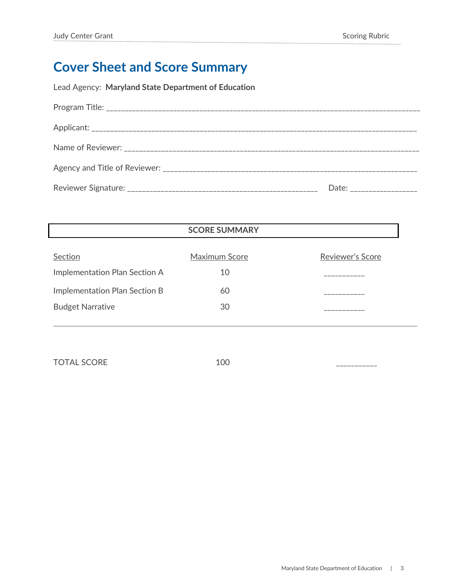# <span id="page-3-0"></span>**Cover Sheet and Score Summary**

Lead Agency: **Maryland State Department of Education**

| Date: __________________ |
|--------------------------|

| <b>SCORE SUMMARY</b> |                  |
|----------------------|------------------|
|                      | Reviewer's Score |
|                      |                  |
| 10                   |                  |
| 60                   |                  |
| 30                   |                  |
|                      | Maximum Score    |

TOTAL SCORE 100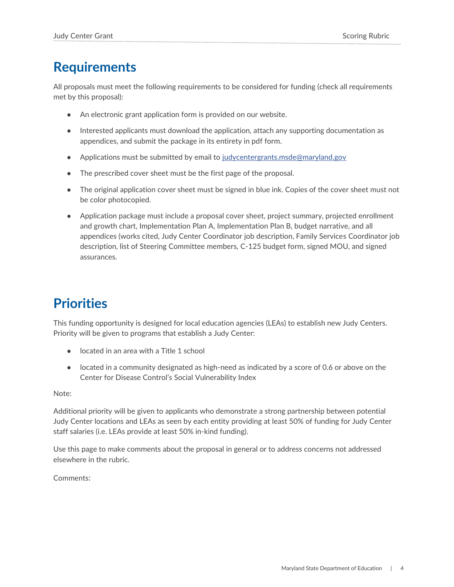# <span id="page-4-0"></span>**Requirements**

All proposals must meet the following requirements to be considered for funding (check all requirements met by this proposal):

- An electronic grant application form is provided on our website.
- Interested applicants must download the application, attach any supporting documentation as appendices, and submit the package in its entirety in pdf form.
- Applications must be submitted by email to [judycentergrants.msde@maryland.gov](mailto:judycentergrants.msde@maryland.gov)
- The prescribed cover sheet must be the first page of the proposal.
- The original application cover sheet must be signed in blue ink. Copies of the cover sheet must not be color photocopied.
- Application package must include a proposal cover sheet, project summary, projected enrollment and growth chart, Implementation Plan A, Implementation Plan B, budget narrative, and all appendices (works cited, Judy Center Coordinator job description, Family Services Coordinator job description, list of Steering Committee members, C-125 budget form, signed MOU, and signed assurances.

# <span id="page-4-1"></span>**Priorities**

This funding opportunity is designed for local education agencies (LEAs) to establish new Judy Centers. Priority will be given to programs that establish a Judy Center:

- located in an area with a Title 1 school
- located in a community designated as high-need as indicated by a score of 0.6 or above on the Center for Disease Control's Social Vulnerability Index

Note:

Additional priority will be given to applicants who demonstrate a strong partnership between potential Judy Center locations and LEAs as seen by each entity providing at least 50% of funding for Judy Center staff salaries (i.e. LEAs provide at least 50% in-kind funding).

Use this page to make comments about the proposal in general or to address concerns not addressed elsewhere in the rubric.

Comments: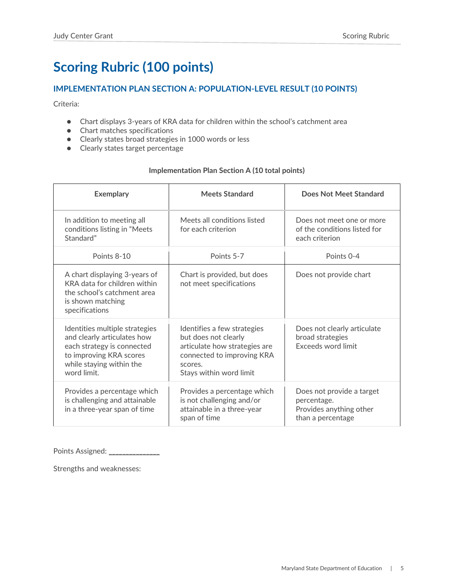# <span id="page-5-0"></span>**Scoring Rubric (100 points)**

# <span id="page-5-1"></span>**IMPLEMENTATION PLAN SECTION A: POPULATION-LEVEL RESULT (10 POINTS)**

Criteria:

- Chart displays 3-years of KRA data for children within the school's catchment area
- Chart matches specifications
- Clearly states broad strategies in 1000 words or less
- Clearly states target percentage

# **Implementation Plan Section A (10 total points)**

| <b>Exemplary</b>                                                                                                                                                  | <b>Meets Standard</b>                                                                                                                                    | Does Not Meet Standard                                                                   |
|-------------------------------------------------------------------------------------------------------------------------------------------------------------------|----------------------------------------------------------------------------------------------------------------------------------------------------------|------------------------------------------------------------------------------------------|
| In addition to meeting all<br>conditions listing in "Meets<br>Standard"                                                                                           | Meets all conditions listed<br>for each criterion                                                                                                        | Does not meet one or more<br>of the conditions listed for<br>each criterion              |
| Points 8-10                                                                                                                                                       | Points 5-7                                                                                                                                               | Points 0-4                                                                               |
| A chart displaying 3-years of<br>KRA data for children within<br>the school's catchment area<br>is shown matching<br>specifications                               | Chart is provided, but does<br>not meet specifications                                                                                                   | Does not provide chart                                                                   |
| Identities multiple strategies<br>and clearly articulates how<br>each strategy is connected<br>to improving KRA scores<br>while staying within the<br>word limit. | Identifies a few strategies<br>but does not clearly<br>articulate how strategies are<br>connected to improving KRA<br>scores.<br>Stays within word limit | Does not clearly articulate<br>broad strategies<br>Exceeds word limit                    |
| Provides a percentage which<br>is challenging and attainable<br>in a three-year span of time                                                                      | Provides a percentage which<br>is not challenging and/or<br>attainable in a three-year<br>span of time                                                   | Does not provide a target<br>percentage.<br>Provides anything other<br>than a percentage |

Points Assigned: \_\_\_\_\_\_\_\_\_\_\_\_\_\_\_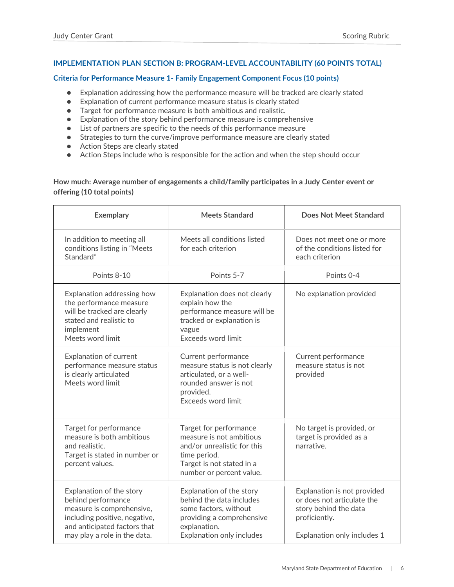# <span id="page-6-0"></span>**IMPLEMENTATION PLAN SECTION B: PROGRAM-LEVEL ACCOUNTABILITY (60 POINTS TOTAL)**

### <span id="page-6-1"></span>**Criteria for Performance Measure 1- Family Engagement Component Focus (10 points)**

- Explanation addressing how the performance measure will be tracked are clearly stated
- Explanation of current performance measure status is clearly stated
- Target for performance measure is both ambitious and realistic.
- Explanation of the story behind performance measure is comprehensive
- List of partners are specific to the needs of this performance measure
- Strategies to turn the curve/improve performance measure are clearly stated
- Action Steps are clearly stated
- Action Steps include who is responsible for the action and when the step should occur

# **How much: Average number of engagements a child/family participates in a Judy Center event or offering (10 total points)**

| <b>Exemplary</b>                                                                                                                                                             | <b>Meets Standard</b>                                                                                                                                      | <b>Does Not Meet Standard</b>                                                                                                      |
|------------------------------------------------------------------------------------------------------------------------------------------------------------------------------|------------------------------------------------------------------------------------------------------------------------------------------------------------|------------------------------------------------------------------------------------------------------------------------------------|
| In addition to meeting all<br>conditions listing in "Meets<br>Standard"                                                                                                      | Meets all conditions listed<br>for each criterion                                                                                                          | Does not meet one or more<br>of the conditions listed for<br>each criterion                                                        |
| Points 8-10                                                                                                                                                                  | Points 5-7                                                                                                                                                 | Points 0-4                                                                                                                         |
| Explanation addressing how<br>the performance measure<br>will be tracked are clearly<br>stated and realistic to<br>implement<br>Meets word limit                             | Explanation does not clearly<br>explain how the<br>performance measure will be<br>tracked or explanation is<br>vague<br>Exceeds word limit                 | No explanation provided                                                                                                            |
| Explanation of current<br>performance measure status<br>is clearly articulated<br>Meets word limit                                                                           | Current performance<br>measure status is not clearly<br>articulated, or a well-<br>rounded answer is not<br>provided.<br>Exceeds word limit                | Current performance<br>measure status is not<br>provided                                                                           |
| Target for performance<br>measure is both ambitious<br>and realistic.<br>Target is stated in number or<br>percent values.                                                    | Target for performance<br>measure is not ambitious<br>and/or unrealistic for this<br>time period.<br>Target is not stated in a<br>number or percent value. | No target is provided, or<br>target is provided as a<br>narrative.                                                                 |
| Explanation of the story<br>behind performance<br>measure is comprehensive,<br>including positive, negative,<br>and anticipated factors that<br>may play a role in the data. | Explanation of the story<br>behind the data includes<br>some factors, without<br>providing a comprehensive<br>explanation.<br>Explanation only includes    | Explanation is not provided<br>or does not articulate the<br>story behind the data<br>proficiently.<br>Explanation only includes 1 |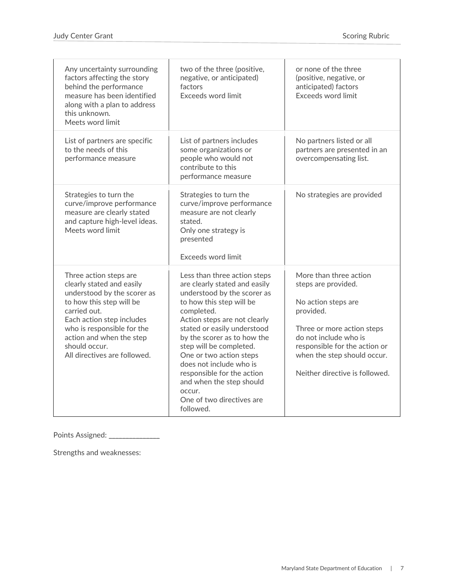| Any uncertainty surrounding<br>factors affecting the story<br>behind the performance<br>measure has been identified<br>along with a plan to address<br>this unknown.<br>Meets word limit                                                                               | two of the three (positive,<br>negative, or anticipated)<br>factors<br>Exceeds word limit                                                                                                                                                                                                                                                                                                                                           | or none of the three<br>(positive, negative, or<br>anticipated) factors<br>Exceeds word limit                                                                                                                                              |
|------------------------------------------------------------------------------------------------------------------------------------------------------------------------------------------------------------------------------------------------------------------------|-------------------------------------------------------------------------------------------------------------------------------------------------------------------------------------------------------------------------------------------------------------------------------------------------------------------------------------------------------------------------------------------------------------------------------------|--------------------------------------------------------------------------------------------------------------------------------------------------------------------------------------------------------------------------------------------|
| List of partners are specific<br>to the needs of this<br>performance measure                                                                                                                                                                                           | List of partners includes<br>some organizations or<br>people who would not<br>contribute to this<br>performance measure                                                                                                                                                                                                                                                                                                             | No partners listed or all<br>partners are presented in an<br>overcompensating list.                                                                                                                                                        |
| Strategies to turn the<br>curve/improve performance<br>measure are clearly stated<br>and capture high-level ideas.<br>Meets word limit                                                                                                                                 | Strategies to turn the<br>curve/improve performance<br>measure are not clearly<br>stated.<br>Only one strategy is<br>presented<br><b>Exceeds word limit</b>                                                                                                                                                                                                                                                                         | No strategies are provided                                                                                                                                                                                                                 |
| Three action steps are<br>clearly stated and easily<br>understood by the scorer as<br>to how this step will be<br>carried out.<br>Each action step includes<br>who is responsible for the<br>action and when the step<br>should occur.<br>All directives are followed. | Less than three action steps<br>are clearly stated and easily<br>understood by the scorer as<br>to how this step will be<br>completed.<br>Action steps are not clearly<br>stated or easily understood<br>by the scorer as to how the<br>step will be completed.<br>One or two action steps<br>does not include who is<br>responsible for the action<br>and when the step should<br>occur.<br>One of two directives are<br>followed. | More than three action<br>steps are provided.<br>No action steps are<br>provided.<br>Three or more action steps<br>do not include who is<br>responsible for the action or<br>when the step should occur.<br>Neither directive is followed. |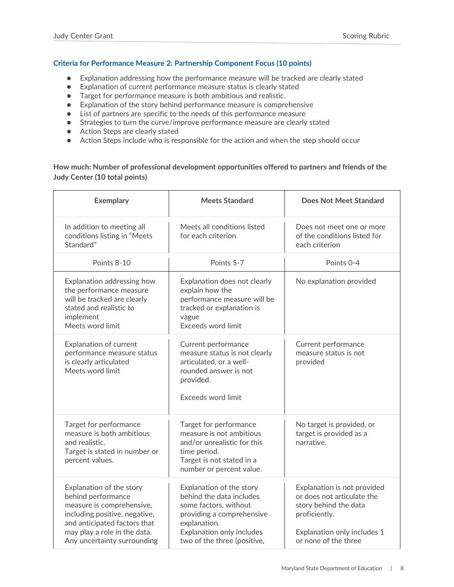# <span id="page-8-0"></span>**Criteria for Performance Measure 2: Partnership Component Focus (10 points)**

- Explanation addressing how the performance measure will be tracked are clearly stated
- Explanation of current performance measure status is clearly stated
- Target for performance measure is both ambitious and realistic.
- Explanation of the story behind performance measure is comprehensive
- List of partners are specific to the needs of this performance measure
- Strategies to turn the curve/improve performance measure are clearly stated
- Action Steps are clearly stated
- Action Steps include who is responsible for the action and when the step should occur

# **How much: Number of professional development opportunities offered to partners and friends of the Judy Center (10 total points)**

| <b>Exemplary</b>                                                                                                                                                                                            | <b>Meets Standard</b>                                                                                                                                                                  | Does Not Meet Standard                                                                                                                                     |
|-------------------------------------------------------------------------------------------------------------------------------------------------------------------------------------------------------------|----------------------------------------------------------------------------------------------------------------------------------------------------------------------------------------|------------------------------------------------------------------------------------------------------------------------------------------------------------|
| In addition to meeting all<br>conditions listing in "Meets<br>Standard"                                                                                                                                     | Meets all conditions listed<br>for each criterion                                                                                                                                      | Does not meet one or more<br>of the conditions listed for<br>each criterion                                                                                |
| Points 8-10                                                                                                                                                                                                 | Points 5-7                                                                                                                                                                             | Points 0-4                                                                                                                                                 |
| Explanation addressing how<br>the performance measure<br>will be tracked are clearly<br>stated and realistic to<br>implement<br>Meets word limit                                                            | Explanation does not clearly<br>explain how the<br>performance measure will be<br>tracked or explanation is<br>vague<br><b>Exceeds word limit</b>                                      | No explanation provided                                                                                                                                    |
| Explanation of current<br>performance measure status<br>is clearly articulated<br>Meets word limit                                                                                                          | Current performance<br>measure status is not clearly<br>articulated, or a well-<br>rounded answer is not<br>provided.<br>Exceeds word limit                                            | Current performance<br>measure status is not<br>provided                                                                                                   |
| Target for performance<br>measure is both ambitious<br>and realistic.<br>Target is stated in number or<br>percent values.                                                                                   | Target for performance<br>measure is not ambitious<br>and/or unrealistic for this<br>time period.<br>Target is not stated in a<br>number or percent value.                             | No target is provided, or<br>target is provided as a<br>narrative.                                                                                         |
| Explanation of the story<br>behind performance<br>measure is comprehensive,<br>including positive, negative,<br>and anticipated factors that<br>may play a role in the data.<br>Any uncertainty surrounding | Explanation of the story<br>behind the data includes<br>some factors, without<br>providing a comprehensive<br>explanation.<br>Explanation only includes<br>two of the three (positive, | Explanation is not provided<br>or does not articulate the<br>story behind the data<br>proficiently.<br>Explanation only includes 1<br>or none of the three |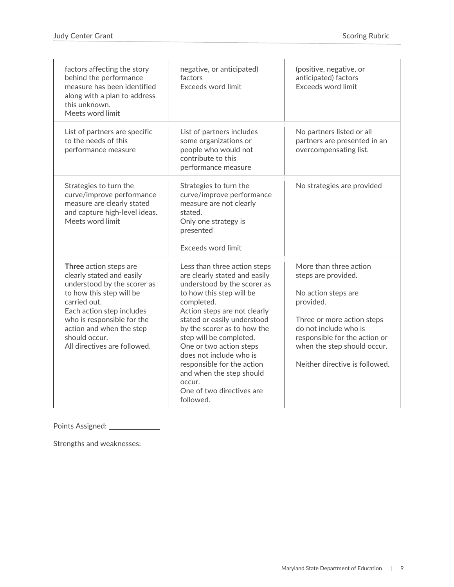| factors affecting the story<br>behind the performance<br>measure has been identified<br>along with a plan to address<br>this unknown.<br>Meets word limit                                                                                                              | negative, or anticipated)<br>factors<br>Exceeds word limit                                                                                                                                                                                                                                                                                                                                                                          | (positive, negative, or<br>anticipated) factors<br>Exceeds word limit                                                                                                                                                                      |
|------------------------------------------------------------------------------------------------------------------------------------------------------------------------------------------------------------------------------------------------------------------------|-------------------------------------------------------------------------------------------------------------------------------------------------------------------------------------------------------------------------------------------------------------------------------------------------------------------------------------------------------------------------------------------------------------------------------------|--------------------------------------------------------------------------------------------------------------------------------------------------------------------------------------------------------------------------------------------|
| List of partners are specific<br>to the needs of this<br>performance measure                                                                                                                                                                                           | List of partners includes<br>some organizations or<br>people who would not<br>contribute to this<br>performance measure                                                                                                                                                                                                                                                                                                             | No partners listed or all<br>partners are presented in an<br>overcompensating list.                                                                                                                                                        |
| Strategies to turn the<br>curve/improve performance<br>measure are clearly stated<br>and capture high-level ideas.<br>Meets word limit                                                                                                                                 | Strategies to turn the<br>curve/improve performance<br>measure are not clearly<br>stated.<br>Only one strategy is<br>presented<br>Exceeds word limit                                                                                                                                                                                                                                                                                | No strategies are provided                                                                                                                                                                                                                 |
| Three action steps are<br>clearly stated and easily<br>understood by the scorer as<br>to how this step will be<br>carried out.<br>Each action step includes<br>who is responsible for the<br>action and when the step<br>should occur.<br>All directives are followed. | Less than three action steps<br>are clearly stated and easily<br>understood by the scorer as<br>to how this step will be<br>completed.<br>Action steps are not clearly<br>stated or easily understood<br>by the scorer as to how the<br>step will be completed.<br>One or two action steps<br>does not include who is<br>responsible for the action<br>and when the step should<br>occur.<br>One of two directives are<br>followed. | More than three action<br>steps are provided.<br>No action steps are<br>provided.<br>Three or more action steps<br>do not include who is<br>responsible for the action or<br>when the step should occur.<br>Neither directive is followed. |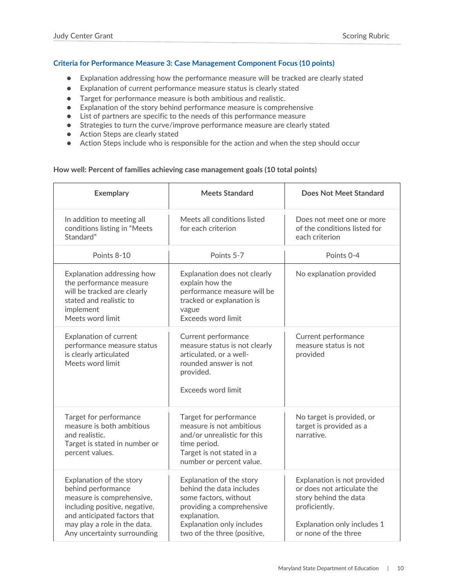# <span id="page-10-0"></span>**Criteria for Performance Measure 3: Case Management Component Focus (10 points)**

- Explanation addressing how the performance measure will be tracked are clearly stated
- Explanation of current performance measure status is clearly stated
- Target for performance measure is both ambitious and realistic.
- Explanation of the story behind performance measure is comprehensive
- List of partners are specific to the needs of this performance measure
- Strategies to turn the curve/improve performance measure are clearly stated
- Action Steps are clearly stated
- Action Steps include who is responsible for the action and when the step should occur

#### **How well: Percent of families achieving case management goals (10 total points)**

| <b>Exemplary</b>                                                                                                                                                                                            | <b>Meets Standard</b>                                                                                                                                                                  | Does Not Meet Standard                                                                                                                                     |
|-------------------------------------------------------------------------------------------------------------------------------------------------------------------------------------------------------------|----------------------------------------------------------------------------------------------------------------------------------------------------------------------------------------|------------------------------------------------------------------------------------------------------------------------------------------------------------|
| In addition to meeting all<br>conditions listing in "Meets<br>Standard"                                                                                                                                     | Meets all conditions listed<br>for each criterion                                                                                                                                      | Does not meet one or more<br>of the conditions listed for<br>each criterion                                                                                |
| Points 8-10                                                                                                                                                                                                 | Points 5-7                                                                                                                                                                             | Points 0-4                                                                                                                                                 |
| Explanation addressing how<br>the performance measure<br>will be tracked are clearly<br>stated and realistic to<br>implement<br>Meets word limit                                                            | Explanation does not clearly<br>explain how the<br>performance measure will be<br>tracked or explanation is<br>vague<br>Exceeds word limit                                             | No explanation provided                                                                                                                                    |
| <b>Explanation of current</b><br>performance measure status<br>is clearly articulated<br>Meets word limit                                                                                                   | Current performance<br>measure status is not clearly<br>articulated, or a well-<br>rounded answer is not<br>provided.<br>Exceeds word limit                                            | Current performance<br>measure status is not<br>provided                                                                                                   |
| Target for performance<br>measure is both ambitious<br>and realistic.<br>Target is stated in number or<br>percent values.                                                                                   | Target for performance<br>measure is not ambitious<br>and/or unrealistic for this<br>time period.<br>Target is not stated in a<br>number or percent value.                             | No target is provided, or<br>target is provided as a<br>narrative.                                                                                         |
| Explanation of the story<br>behind performance<br>measure is comprehensive,<br>including positive, negative,<br>and anticipated factors that<br>may play a role in the data.<br>Any uncertainty surrounding | Explanation of the story<br>behind the data includes<br>some factors, without<br>providing a comprehensive<br>explanation.<br>Explanation only includes<br>two of the three (positive, | Explanation is not provided<br>or does not articulate the<br>story behind the data<br>proficiently.<br>Explanation only includes 1<br>or none of the three |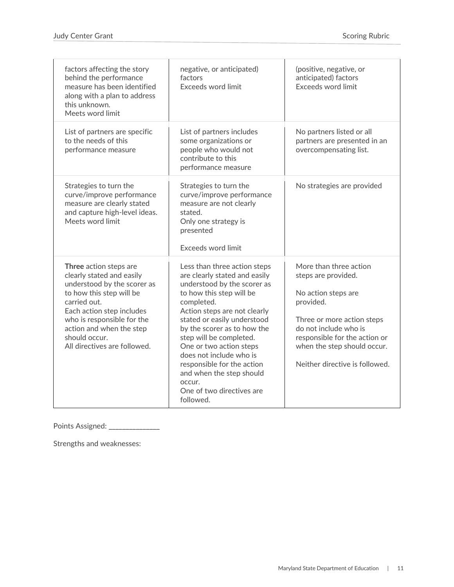| factors affecting the story<br>behind the performance<br>measure has been identified<br>along with a plan to address<br>this unknown.<br>Meets word limit                                                                                                              | negative, or anticipated)<br>factors<br>Exceeds word limit                                                                                                                                                                                                                                                                                                                                                                          | (positive, negative, or<br>anticipated) factors<br>Exceeds word limit                                                                                                                                                                      |
|------------------------------------------------------------------------------------------------------------------------------------------------------------------------------------------------------------------------------------------------------------------------|-------------------------------------------------------------------------------------------------------------------------------------------------------------------------------------------------------------------------------------------------------------------------------------------------------------------------------------------------------------------------------------------------------------------------------------|--------------------------------------------------------------------------------------------------------------------------------------------------------------------------------------------------------------------------------------------|
| List of partners are specific<br>to the needs of this<br>performance measure                                                                                                                                                                                           | List of partners includes<br>some organizations or<br>people who would not<br>contribute to this<br>performance measure                                                                                                                                                                                                                                                                                                             | No partners listed or all<br>partners are presented in an<br>overcompensating list.                                                                                                                                                        |
| Strategies to turn the<br>curve/improve performance<br>measure are clearly stated<br>and capture high-level ideas.<br>Meets word limit                                                                                                                                 | Strategies to turn the<br>curve/improve performance<br>measure are not clearly<br>stated.<br>Only one strategy is<br>presented<br>Exceeds word limit                                                                                                                                                                                                                                                                                | No strategies are provided                                                                                                                                                                                                                 |
| Three action steps are<br>clearly stated and easily<br>understood by the scorer as<br>to how this step will be<br>carried out.<br>Each action step includes<br>who is responsible for the<br>action and when the step<br>should occur.<br>All directives are followed. | Less than three action steps<br>are clearly stated and easily<br>understood by the scorer as<br>to how this step will be<br>completed.<br>Action steps are not clearly<br>stated or easily understood<br>by the scorer as to how the<br>step will be completed.<br>One or two action steps<br>does not include who is<br>responsible for the action<br>and when the step should<br>occur.<br>One of two directives are<br>followed. | More than three action<br>steps are provided.<br>No action steps are<br>provided.<br>Three or more action steps<br>do not include who is<br>responsible for the action or<br>when the step should occur.<br>Neither directive is followed. |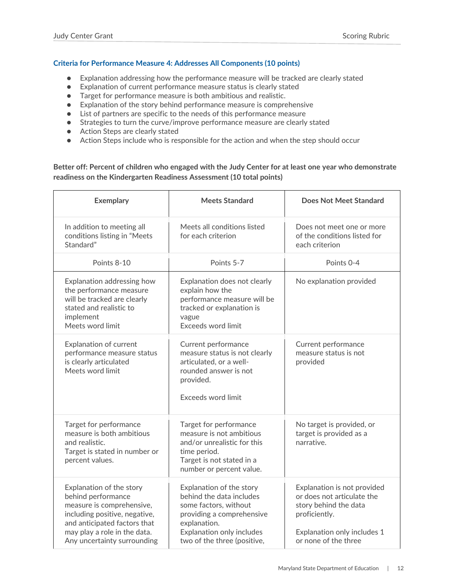# <span id="page-12-0"></span>**Criteria for Performance Measure 4: Addresses All Components (10 points)**

- Explanation addressing how the performance measure will be tracked are clearly stated
- Explanation of current performance measure status is clearly stated
- Target for performance measure is both ambitious and realistic.
- Explanation of the story behind performance measure is comprehensive
- List of partners are specific to the needs of this performance measure
- Strategies to turn the curve/improve performance measure are clearly stated
- Action Steps are clearly stated
- Action Steps include who is responsible for the action and when the step should occur

# **Better off: Percent of children who engaged with the Judy Center for at least one year who demonstrate readiness on the Kindergarten Readiness Assessment (10 total points)**

| <b>Exemplary</b>                                                                                                                                                                                            | <b>Meets Standard</b>                                                                                                                                                                  | Does Not Meet Standard                                                                                                                                     |
|-------------------------------------------------------------------------------------------------------------------------------------------------------------------------------------------------------------|----------------------------------------------------------------------------------------------------------------------------------------------------------------------------------------|------------------------------------------------------------------------------------------------------------------------------------------------------------|
| In addition to meeting all<br>conditions listing in "Meets<br>Standard"                                                                                                                                     | Meets all conditions listed<br>for each criterion                                                                                                                                      | Does not meet one or more<br>of the conditions listed for<br>each criterion                                                                                |
| Points 8-10                                                                                                                                                                                                 | Points 5-7                                                                                                                                                                             | Points 0-4                                                                                                                                                 |
| Explanation addressing how<br>the performance measure<br>will be tracked are clearly<br>stated and realistic to<br>implement<br>Meets word limit                                                            | Explanation does not clearly<br>explain how the<br>performance measure will be<br>tracked or explanation is<br>vague<br>Exceeds word limit                                             | No explanation provided                                                                                                                                    |
| Explanation of current<br>performance measure status<br>is clearly articulated<br>Meets word limit                                                                                                          | Current performance<br>measure status is not clearly<br>articulated, or a well-<br>rounded answer is not<br>provided.<br>Exceeds word limit                                            | Current performance<br>measure status is not<br>provided                                                                                                   |
| Target for performance<br>measure is both ambitious<br>and realistic.<br>Target is stated in number or<br>percent values.                                                                                   | Target for performance<br>measure is not ambitious<br>and/or unrealistic for this<br>time period.<br>Target is not stated in a<br>number or percent value.                             | No target is provided, or<br>target is provided as a<br>narrative.                                                                                         |
| Explanation of the story<br>behind performance<br>measure is comprehensive,<br>including positive, negative,<br>and anticipated factors that<br>may play a role in the data.<br>Any uncertainty surrounding | Explanation of the story<br>behind the data includes<br>some factors, without<br>providing a comprehensive<br>explanation.<br>Explanation only includes<br>two of the three (positive, | Explanation is not provided<br>or does not articulate the<br>story behind the data<br>proficiently.<br>Explanation only includes 1<br>or none of the three |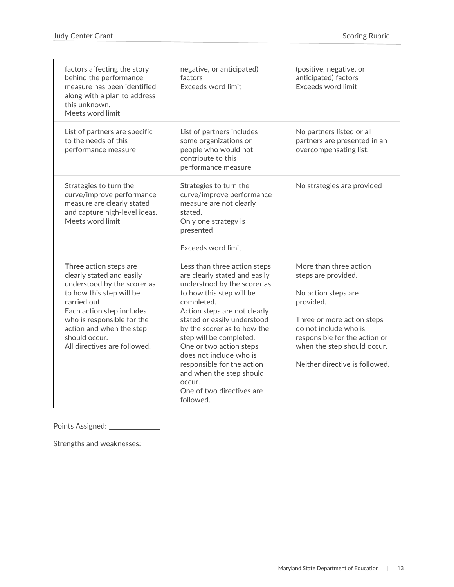| factors affecting the story<br>behind the performance<br>measure has been identified<br>along with a plan to address<br>this unknown.<br>Meets word limit                                                                                                              | negative, or anticipated)<br>factors<br>Exceeds word limit                                                                                                                                                                                                                                                                                                                                                                          | (positive, negative, or<br>anticipated) factors<br>Exceeds word limit                                                                                                                                                                      |
|------------------------------------------------------------------------------------------------------------------------------------------------------------------------------------------------------------------------------------------------------------------------|-------------------------------------------------------------------------------------------------------------------------------------------------------------------------------------------------------------------------------------------------------------------------------------------------------------------------------------------------------------------------------------------------------------------------------------|--------------------------------------------------------------------------------------------------------------------------------------------------------------------------------------------------------------------------------------------|
| List of partners are specific<br>to the needs of this<br>performance measure                                                                                                                                                                                           | List of partners includes<br>some organizations or<br>people who would not<br>contribute to this<br>performance measure                                                                                                                                                                                                                                                                                                             | No partners listed or all<br>partners are presented in an<br>overcompensating list.                                                                                                                                                        |
| Strategies to turn the<br>curve/improve performance<br>measure are clearly stated<br>and capture high-level ideas.<br>Meets word limit                                                                                                                                 | Strategies to turn the<br>curve/improve performance<br>measure are not clearly<br>stated.<br>Only one strategy is<br>presented<br>Exceeds word limit                                                                                                                                                                                                                                                                                | No strategies are provided                                                                                                                                                                                                                 |
| Three action steps are<br>clearly stated and easily<br>understood by the scorer as<br>to how this step will be<br>carried out.<br>Each action step includes<br>who is responsible for the<br>action and when the step<br>should occur.<br>All directives are followed. | Less than three action steps<br>are clearly stated and easily<br>understood by the scorer as<br>to how this step will be<br>completed.<br>Action steps are not clearly<br>stated or easily understood<br>by the scorer as to how the<br>step will be completed.<br>One or two action steps<br>does not include who is<br>responsible for the action<br>and when the step should<br>occur.<br>One of two directives are<br>followed. | More than three action<br>steps are provided.<br>No action steps are<br>provided.<br>Three or more action steps<br>do not include who is<br>responsible for the action or<br>when the step should occur.<br>Neither directive is followed. |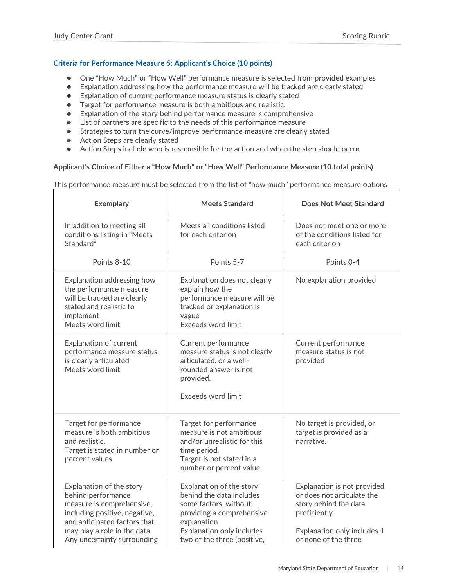# <span id="page-14-0"></span>**Criteria for Performance Measure 5: Applicant's Choice (10 points)**

- One "How Much" or "How Well" performance measure is selected from provided examples
- Explanation addressing how the performance measure will be tracked are clearly stated
- Explanation of current performance measure status is clearly stated
- Target for performance measure is both ambitious and realistic.
- Explanation of the story behind performance measure is comprehensive
- List of partners are specific to the needs of this performance measure
- Strategies to turn the curve/improve performance measure are clearly stated
- Action Steps are clearly stated
- Action Steps include who is responsible for the action and when the step should occur

### **Applicant's Choice of Either a "How Much" or "How Well" Performance Measure (10 total points)**

This performance measure must be selected from the list of "how much" performance measure options

| <b>Exemplary</b>                                                                                                                                                                                            | <b>Meets Standard</b>                                                                                                                                                                  | <b>Does Not Meet Standard</b>                                                                                                                              |
|-------------------------------------------------------------------------------------------------------------------------------------------------------------------------------------------------------------|----------------------------------------------------------------------------------------------------------------------------------------------------------------------------------------|------------------------------------------------------------------------------------------------------------------------------------------------------------|
| In addition to meeting all<br>conditions listing in "Meets<br>Standard"                                                                                                                                     | Meets all conditions listed<br>for each criterion                                                                                                                                      | Does not meet one or more<br>of the conditions listed for<br>each criterion                                                                                |
| Points 8-10                                                                                                                                                                                                 | Points 5-7                                                                                                                                                                             | Points 0-4                                                                                                                                                 |
| Explanation addressing how<br>the performance measure<br>will be tracked are clearly<br>stated and realistic to<br>implement<br>Meets word limit                                                            | Explanation does not clearly<br>explain how the<br>performance measure will be<br>tracked or explanation is<br>vague<br><b>Exceeds word limit</b>                                      | No explanation provided                                                                                                                                    |
| <b>Explanation of current</b><br>performance measure status<br>is clearly articulated<br>Meets word limit                                                                                                   | Current performance<br>measure status is not clearly<br>articulated, or a well-<br>rounded answer is not<br>provided.<br><b>Exceeds word limit</b>                                     | Current performance<br>measure status is not<br>provided                                                                                                   |
| Target for performance<br>measure is both ambitious<br>and realistic.<br>Target is stated in number or<br>percent values.                                                                                   | Target for performance<br>measure is not ambitious<br>and/or unrealistic for this<br>time period.<br>Target is not stated in a<br>number or percent value.                             | No target is provided, or<br>target is provided as a<br>narrative.                                                                                         |
| Explanation of the story<br>behind performance<br>measure is comprehensive,<br>including positive, negative,<br>and anticipated factors that<br>may play a role in the data.<br>Any uncertainty surrounding | Explanation of the story<br>behind the data includes<br>some factors, without<br>providing a comprehensive<br>explanation.<br>Explanation only includes<br>two of the three (positive, | Explanation is not provided<br>or does not articulate the<br>story behind the data<br>proficiently.<br>Explanation only includes 1<br>or none of the three |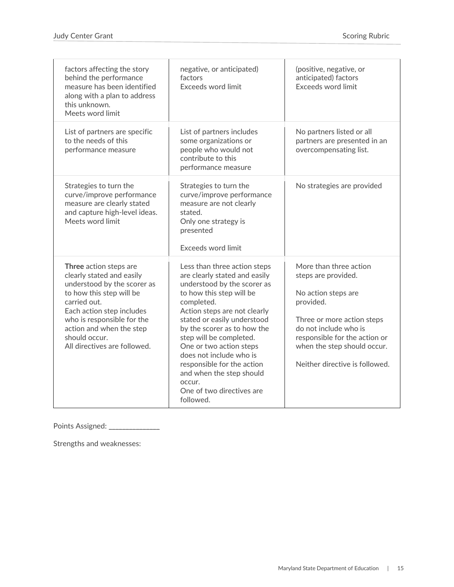| factors affecting the story<br>behind the performance<br>measure has been identified<br>along with a plan to address<br>this unknown.<br>Meets word limit                                                                                                              | negative, or anticipated)<br>factors<br>Exceeds word limit                                                                                                                                                                                                                                                                                                                                                                          | (positive, negative, or<br>anticipated) factors<br>Exceeds word limit                                                                                                                                                                      |
|------------------------------------------------------------------------------------------------------------------------------------------------------------------------------------------------------------------------------------------------------------------------|-------------------------------------------------------------------------------------------------------------------------------------------------------------------------------------------------------------------------------------------------------------------------------------------------------------------------------------------------------------------------------------------------------------------------------------|--------------------------------------------------------------------------------------------------------------------------------------------------------------------------------------------------------------------------------------------|
| List of partners are specific<br>to the needs of this<br>performance measure                                                                                                                                                                                           | List of partners includes<br>some organizations or<br>people who would not<br>contribute to this<br>performance measure                                                                                                                                                                                                                                                                                                             | No partners listed or all<br>partners are presented in an<br>overcompensating list.                                                                                                                                                        |
| Strategies to turn the<br>curve/improve performance<br>measure are clearly stated<br>and capture high-level ideas.<br>Meets word limit                                                                                                                                 | Strategies to turn the<br>curve/improve performance<br>measure are not clearly<br>stated.<br>Only one strategy is<br>presented<br>Exceeds word limit                                                                                                                                                                                                                                                                                | No strategies are provided                                                                                                                                                                                                                 |
| Three action steps are<br>clearly stated and easily<br>understood by the scorer as<br>to how this step will be<br>carried out.<br>Each action step includes<br>who is responsible for the<br>action and when the step<br>should occur.<br>All directives are followed. | Less than three action steps<br>are clearly stated and easily<br>understood by the scorer as<br>to how this step will be<br>completed.<br>Action steps are not clearly<br>stated or easily understood<br>by the scorer as to how the<br>step will be completed.<br>One or two action steps<br>does not include who is<br>responsible for the action<br>and when the step should<br>occur.<br>One of two directives are<br>followed. | More than three action<br>steps are provided.<br>No action steps are<br>provided.<br>Three or more action steps<br>do not include who is<br>responsible for the action or<br>when the step should occur.<br>Neither directive is followed. |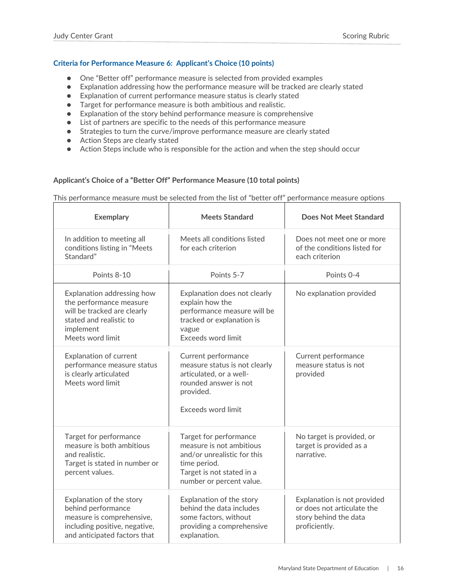# <span id="page-16-0"></span>**Criteria for Performance Measure 6: Applicant's Choice (10 points)**

- One "Better off" performance measure is selected from provided examples
- Explanation addressing how the performance measure will be tracked are clearly stated
- Explanation of current performance measure status is clearly stated
- Target for performance measure is both ambitious and realistic.
- Explanation of the story behind performance measure is comprehensive
- List of partners are specific to the needs of this performance measure
- Strategies to turn the curve/improve performance measure are clearly stated
- Action Steps are clearly stated
- Action Steps include who is responsible for the action and when the step should occur

#### **Applicant's Choice of a "Better Off" Performance Measure (10 total points)**

This performance measure must be selected from the list of "better off" performance measure options

| <b>Exemplary</b>                                                                                                                                 | <b>Meets Standard</b>                                                                                                                                      | Does Not Meet Standard                                                                              |
|--------------------------------------------------------------------------------------------------------------------------------------------------|------------------------------------------------------------------------------------------------------------------------------------------------------------|-----------------------------------------------------------------------------------------------------|
| In addition to meeting all<br>conditions listing in "Meets<br>Standard"                                                                          | Meets all conditions listed<br>for each criterion                                                                                                          | Does not meet one or more<br>of the conditions listed for<br>each criterion                         |
| Points 8-10                                                                                                                                      | Points 5-7                                                                                                                                                 | Points 0-4                                                                                          |
| Explanation addressing how<br>the performance measure<br>will be tracked are clearly<br>stated and realistic to<br>implement<br>Meets word limit | Explanation does not clearly<br>explain how the<br>performance measure will be<br>tracked or explanation is<br>vague<br>Exceeds word limit                 | No explanation provided                                                                             |
| <b>Explanation of current</b><br>performance measure status<br>is clearly articulated<br>Meets word limit                                        | Current performance<br>measure status is not clearly<br>articulated, or a well-<br>rounded answer is not<br>provided.<br>Exceeds word limit                | Current performance<br>measure status is not<br>provided                                            |
| Target for performance<br>measure is both ambitious<br>and realistic.<br>Target is stated in number or<br>percent values.                        | Target for performance<br>measure is not ambitious<br>and/or unrealistic for this<br>time period.<br>Target is not stated in a<br>number or percent value. | No target is provided, or<br>target is provided as a<br>narrative.                                  |
| Explanation of the story<br>behind performance<br>measure is comprehensive,<br>including positive, negative,<br>and anticipated factors that     | Explanation of the story<br>behind the data includes<br>some factors, without<br>providing a comprehensive<br>explanation.                                 | Explanation is not provided<br>or does not articulate the<br>story behind the data<br>proficiently. |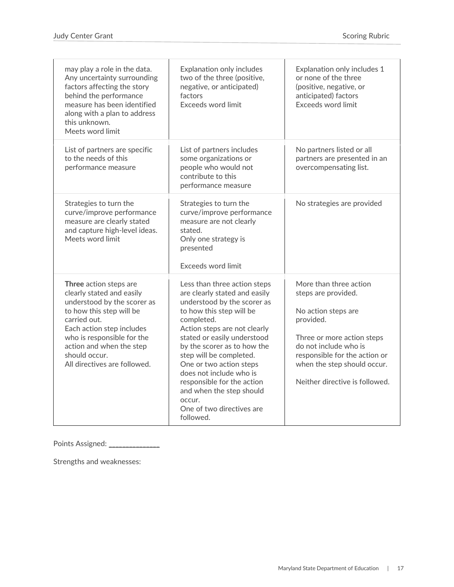| may play a role in the data.<br>Any uncertainty surrounding<br>factors affecting the story<br>behind the performance<br>measure has been identified<br>along with a plan to address<br>this unknown.<br>Meets word limit                                               | Explanation only includes<br>two of the three (positive,<br>negative, or anticipated)<br>factors<br>Exceeds word limit                                                                                                                                                                                                                                                                                                              | Explanation only includes 1<br>or none of the three<br>(positive, negative, or<br>anticipated) factors<br><b>Exceeds word limit</b>                                                                                                        |
|------------------------------------------------------------------------------------------------------------------------------------------------------------------------------------------------------------------------------------------------------------------------|-------------------------------------------------------------------------------------------------------------------------------------------------------------------------------------------------------------------------------------------------------------------------------------------------------------------------------------------------------------------------------------------------------------------------------------|--------------------------------------------------------------------------------------------------------------------------------------------------------------------------------------------------------------------------------------------|
| List of partners are specific<br>to the needs of this<br>performance measure                                                                                                                                                                                           | List of partners includes<br>some organizations or<br>people who would not<br>contribute to this<br>performance measure                                                                                                                                                                                                                                                                                                             | No partners listed or all<br>partners are presented in an<br>overcompensating list.                                                                                                                                                        |
| Strategies to turn the<br>curve/improve performance<br>measure are clearly stated<br>and capture high-level ideas.<br>Meets word limit                                                                                                                                 | Strategies to turn the<br>curve/improve performance<br>measure are not clearly<br>stated.<br>Only one strategy is<br>presented<br>Exceeds word limit                                                                                                                                                                                                                                                                                | No strategies are provided                                                                                                                                                                                                                 |
| Three action steps are<br>clearly stated and easily<br>understood by the scorer as<br>to how this step will be<br>carried out.<br>Each action step includes<br>who is responsible for the<br>action and when the step<br>should occur.<br>All directives are followed. | Less than three action steps<br>are clearly stated and easily<br>understood by the scorer as<br>to how this step will be<br>completed.<br>Action steps are not clearly<br>stated or easily understood<br>by the scorer as to how the<br>step will be completed.<br>One or two action steps<br>does not include who is<br>responsible for the action<br>and when the step should<br>occur.<br>One of two directives are<br>followed. | More than three action<br>steps are provided.<br>No action steps are<br>provided.<br>Three or more action steps<br>do not include who is<br>responsible for the action or<br>when the step should occur.<br>Neither directive is followed. |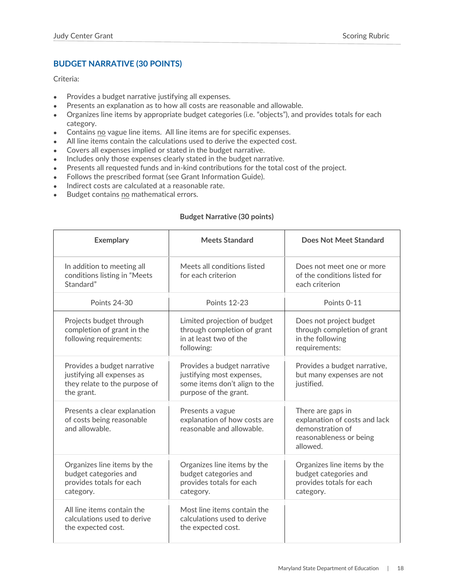# <span id="page-18-0"></span>**BUDGET NARRATIVE (30 POINTS)**

Criteria:

- Provides a budget narrative justifying all expenses.
- Presents an explanation as to how all costs are reasonable and allowable.
- Organizes line items by appropriate budget categories (i.e. "objects"), and provides totals for each category.
- Contains no vague line items. All line items are for specific expenses.
- All line items contain the calculations used to derive the expected cost.
- Covers all expenses implied or stated in the budget narrative.
- Includes only those expenses clearly stated in the budget narrative.
- Presents all requested funds and in-kind contributions for the total cost of the project.
- Follows the prescribed format (see Grant Information Guide).
- Indirect costs are calculated at a reasonable rate.
- Budget contains no mathematical errors.

# **Budget Narrative (30 points)**

| <b>Exemplary</b>                                                                                         | <b>Meets Standard</b>                                                                                              | Does Not Meet Standard                                                                                        |
|----------------------------------------------------------------------------------------------------------|--------------------------------------------------------------------------------------------------------------------|---------------------------------------------------------------------------------------------------------------|
| In addition to meeting all<br>conditions listing in "Meets<br>Standard"                                  | Meets all conditions listed<br>for each criterion                                                                  | Does not meet one or more<br>of the conditions listed for<br>each criterion                                   |
| <b>Points 24-30</b>                                                                                      | <b>Points 12-23</b>                                                                                                | Points 0-11                                                                                                   |
| Projects budget through<br>completion of grant in the<br>following requirements:                         | Limited projection of budget<br>through completion of grant<br>in at least two of the<br>following:                | Does not project budget<br>through completion of grant<br>in the following<br>requirements:                   |
| Provides a budget narrative<br>justifying all expenses as<br>they relate to the purpose of<br>the grant. | Provides a budget narrative<br>justifying most expenses,<br>some items don't align to the<br>purpose of the grant. | Provides a budget narrative,<br>but many expenses are not<br>justified.                                       |
| Presents a clear explanation<br>of costs being reasonable<br>and allowable.                              | Presents a vague<br>explanation of how costs are<br>reasonable and allowable.                                      | There are gaps in<br>explanation of costs and lack<br>demonstration of<br>reasonableness or being<br>allowed. |
| Organizes line items by the<br>budget categories and<br>provides totals for each<br>category.            | Organizes line items by the<br>budget categories and<br>provides totals for each<br>category.                      | Organizes line items by the<br>budget categories and<br>provides totals for each<br>category.                 |
| All line items contain the<br>calculations used to derive<br>the expected cost.                          | Most line items contain the<br>calculations used to derive<br>the expected cost.                                   |                                                                                                               |